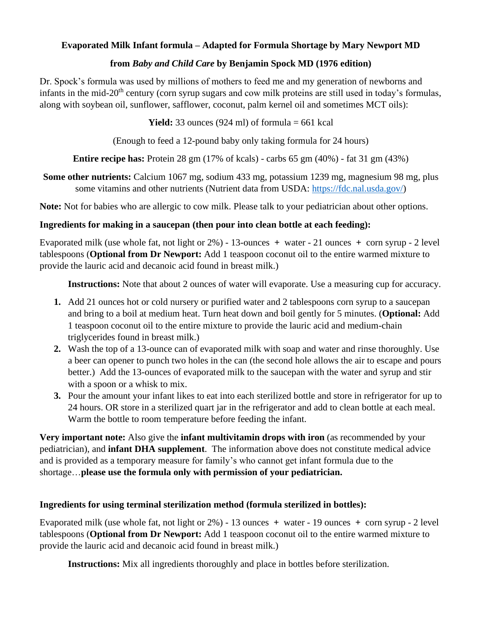# **Evaporated Milk Infant formula – Adapted for Formula Shortage by Mary Newport MD**

# **from** *Baby and Child Care* **by Benjamin Spock MD (1976 edition)**

Dr. Spock's formula was used by millions of mothers to feed me and my generation of newborns and infants in the mid-20<sup>th</sup> century (corn syrup sugars and cow milk proteins are still used in today's formulas, along with soybean oil, sunflower, safflower, coconut, palm kernel oil and sometimes MCT oils):

**Yield:** 33 ounces (924 ml) of formula  $= 661$  kcal

(Enough to feed a 12-pound baby only taking formula for 24 hours)

**Entire recipe has:** Protein 28 gm (17% of kcals) - carbs 65 gm (40%) - fat 31 gm (43%)

**Some other nutrients:** Calcium 1067 mg, sodium 433 mg, potassium 1239 mg, magnesium 98 mg, plus some vitamins and other nutrients (Nutrient data from USDA: [https://fdc.nal.usda.gov/\)](https://fdc.nal.usda.gov/)

**Note:** Not for babies who are allergic to cow milk. Please talk to your pediatrician about other options.

# **Ingredients for making in a saucepan (then pour into clean bottle at each feeding):**

Evaporated milk (use whole fat, not light or 2%) - 13-ounces **+** water - 21 ounces **+** corn syrup - 2 level tablespoons (**Optional from Dr Newport:** Add 1 teaspoon coconut oil to the entire warmed mixture to provide the lauric acid and decanoic acid found in breast milk.)

**Instructions:** Note that about 2 ounces of water will evaporate. Use a measuring cup for accuracy.

- **1.** Add 21 ounces hot or cold nursery or purified water and 2 tablespoons corn syrup to a saucepan and bring to a boil at medium heat. Turn heat down and boil gently for 5 minutes. (**Optional:** Add 1 teaspoon coconut oil to the entire mixture to provide the lauric acid and medium-chain triglycerides found in breast milk.)
- **2.** Wash the top of a 13-ounce can of evaporated milk with soap and water and rinse thoroughly. Use a beer can opener to punch two holes in the can (the second hole allows the air to escape and pours better.) Add the 13-ounces of evaporated milk to the saucepan with the water and syrup and stir with a spoon or a whisk to mix.
- **3.** Pour the amount your infant likes to eat into each sterilized bottle and store in refrigerator for up to 24 hours. OR store in a sterilized quart jar in the refrigerator and add to clean bottle at each meal. Warm the bottle to room temperature before feeding the infant.

**Very important note:** Also give the **infant multivitamin drops with iron** (as recommended by your pediatrician), and **infant DHA supplement**. The information above does not constitute medical advice and is provided as a temporary measure for family's who cannot get infant formula due to the shortage…**please use the formula only with permission of your pediatrician.**

# **Ingredients for using terminal sterilization method (formula sterilized in bottles):**

Evaporated milk (use whole fat, not light or 2%) - 13 ounces **+** water - 19 ounces **+** corn syrup - 2 level tablespoons (**Optional from Dr Newport:** Add 1 teaspoon coconut oil to the entire warmed mixture to provide the lauric acid and decanoic acid found in breast milk.)

**Instructions:** Mix all ingredients thoroughly and place in bottles before sterilization.